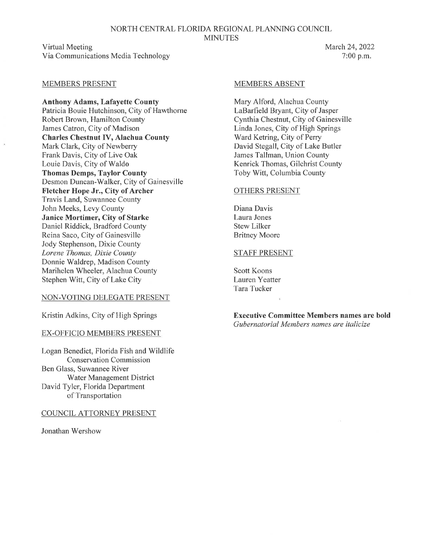#### NORTH CENTRAL FLORIDA REGIONAL PLANNING COUNCIL **MINUTES**

Virtual Meeting Via Communications Media Technology

# March 24, 2022 7:00 p.m.

### MEMBERS PRESENT

**Anthony Adams, Lafayette County**  Patricia Bouie Hutchinson, City of Hawthorne Robert Brown, Hamilton County James Catron, City of Madison **Charles Chestnut IV, Alachua County**  Mark Clark, City of Newberry Frank Davis, City of Live Oak Louie Davis, City of Waldo **Thomas Demps, Taylor County**  Desmon Duncan-Walker, City of Gainesville **Fletcher Hope Jr., City of Archer**  Travis Land, Suwannee County John Meeks, Levy County **Janice Mortimer, City of Starke**  Daniel Riddick, Bradford County Reina Saco, City of Gainesville Jody Stephenson, Dixie County *Lorene Thomas, Dixie County*  Donnie Waldrep, Madison County Marihelen Wheeler, Alachua County Stephen Witt, City of Lake City

#### NON-VOTING DELEGATE PRESENT

Kristin Adkins, City of High Springs

#### EX-OFFICIO MEMBERS PRESENT

Logan Benedict, Florida Fish and Wildlife Conservation Commission Ben Glass, Suwannee River Water Management District David Tyler, Florida Department of Transportation

COUNCIL ATTORNEY PRESENT

Jonathan Wershow

#### MEMBERS ABSENT

Mary Alford, Alachua County LaBarfield Bryant, City of Jasper Cynthia Chestnut, City of Gainesville Linda Jones, City of High Springs Ward Ketring, City of Perry David Stegall, City of Lake Butler James Tallman, Union County Kenrick Thomas, Gilchrist County Toby Witt, Columbia County

### OTHERS PRESENT

Diana Davis Laura Jones Stew Lilker Britney Moore

#### STAFF PRESENT

Scott Koons Lauren Yeatter Tara Tucker

**Executive Committee Members names are bold**  *Gubernatorial Members names are italicize*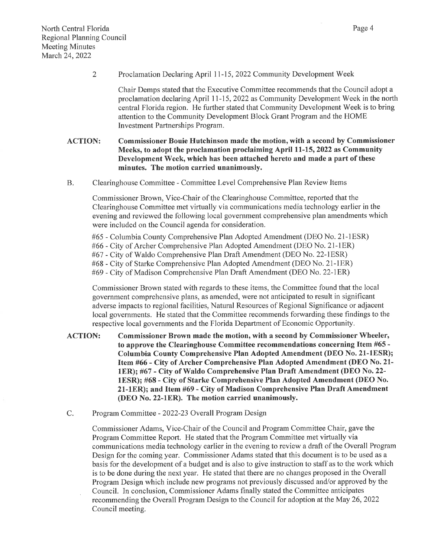2 Proclamation Declaring April 11-15, 2022 Community Development Week

Chair Demps stated that the Executive Committee recommends that the Council adopt a proclamation declaring April 11-15, 2022 as Community Development Week in the north central Florida region. He further stated that Community Development Week is to bring attention to the Community Development Block Grant Program and the HOME Investment Partnerships Program.

# ACTION: Commissioner Bouie Hutchinson made the motion, with a second by Commissioner Meeks, to adopt the proclamation proclaiming April 11-15, 2022 as Community Development Week, which has been attached hereto and made a part of these minutes. The motion carried unanimously.

B. Clearinghouse Committee - Committee Level Comprehensive Plan Review Items

Commissioner Brown, Vice-Chair of the Clearinghouse Committee, reported that the Clearinghouse Committee met virtually via communications media technology earlier in the evening and reviewed the following local government comprehensive plan amendments which were included on the Council agenda for consideration.

#65 - Columbia County Comprehensive Plan Adopted Amendment (DEO No. 21-lESR) #66 - City of Archer Comprehensive Plan Adopted Amendment (DEO No. 21-lER) #67 - City of Waldo Comprehensive Plan Draft Amendment (DEO No. 22-lESR) #68 - City of Starke Comprehensive Plan Adopted Amendment (DEO No. 21-lER)

#69 - City of Madison Comprehensive Plan Draft Amendment (DEO No. 22-lER)

Commissioner Brown stated with regards to these items, the Committee found that the local government comprehensive plans, as amended, were not anticipated to result in significant adverse impacts to regional facilities, Natural Resources of Regional Significance or adjacent local governments. He stated that the Committee recommends forwarding these findings to the respective local governments and the Florida Department of Economic Opportunity.

ACTION: Commissioner Brown made the motion, with a second by Commissioner Wheeler, to approve the Clearinghouse Committee recommendations concerning Item #65 - Columbia County Comprehensive Plan Adopted Amendment (DEO No. 21-lESR); Item #66 - City of Archer Comprehensive Plan Adopted Amendment (DEO No. 21 lER); #67 - City of Waldo Comprehensive Plan Draft Amendment (DEO No. 22 lESR); #68 - City of Starke Comprehensive Plan Adopted Amendment (DEO No. 21-lER); and Item #69- City of Madison Comprehensive Plan Draft Amendment (DEO No. 22-lER). The motion carried unanimously.

C. Program Committee - 2022-23 Overall Program Design

Commissioner Adams, Vice-Chair of the Council and Program Committee Chair, gave the Program Committee Report. He stated that the Program Committee met virtually via communications media technology earlier in the evening to review a draft of the Overall Program Design for the coming year. Commissioner Adams stated that this document is to be used as a basis for the development of a budget and is also to give instruction to staff as to the work which is to be done during the next year. He stated that there are no changes proposed in the Overall Program Design which include new programs not previously discussed and/or approved by the Council. In conclusion, Commissioner Adams finally stated the Committee anticipates recommending the Overall Program Design to the Council for adoption at the May 26, 2022 Council meeting.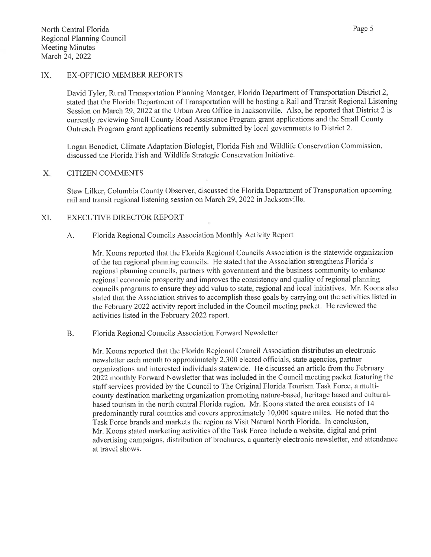David Tyler, Rural Transportation Planning Manager, Florida Department of Transportation District 2, stated that the Florida Department of Transportation will be hosting a Rail and Transit Regional Listening Session on March 29, 2022 at the Urban Area Office in Jacksonville. Also, he reported that District 2 is currently reviewing Small County Road Assistance Program grant applications and the Small County Outreach Program grant applications recently submitted by local governments to District 2.

Logan Benedict, Climate Adaptation Biologist, Florida Fish and Wildlife Conservation Commission, discussed the Florida Fish and Wildlife Strategic Conservation Initiative.

# X. CITIZEN COMMENTS

Stew Lilker, Columbia County Observer, discussed the Florida Department of Transportation upcoming rail and transit regional listening session on March 29, 2022 in Jacksonville.

# XI. EXECUTIVE DIRECTOR REPORT

# A. Florida Regional Councils Association Monthly Activity Report

Mr. Koons reported that the Florida Regional Councils Association is the statewide organization of the ten regional planning councils. He stated that the Association strengthens Florida's regional planning councils, partners with government and the business community to enhance regional economic prosperity and improves the consistency and quality of regional planning councils programs to ensure they add value to state, regional and local initiatives. Mr. Koons also stated that the Association strives to accomplish these goals by carrying out the activities listed in the February 2022 activity report included in the Council meeting packet. He reviewed the activities listed in the February 2022 report.

# B. Florida Regional Councils Association Forward Newsletter

Mr. Koons reported that the Florida Regional Council Association distributes an electronic newsletter each month to approximately 2,300 elected officials, state agencies, partner organizations and interested individuals statewide. He discussed an article from the February 2022 monthly Forward Newsletter that was included in the Council meeting packet featuring the staff services provided by the Council to The Original Florida Tourism Task Force, a multicounty destination marketing organization promoting nature-based, heritage based and culturalbased tourism in the north central Florida region. Mr. Koons stated the area consists of I 4 predominantly rural counties and covers approximately I 0,000 square miles. He noted that the Task Force brands and markets the region as Visit Natural North Florida. In conclusion, Mr. Koons stated marketing activities of the Task Force include a website, digital and print advertising campaigns, distribution of brochures, a quarterly electronic newsletter, and attendance at travel shows.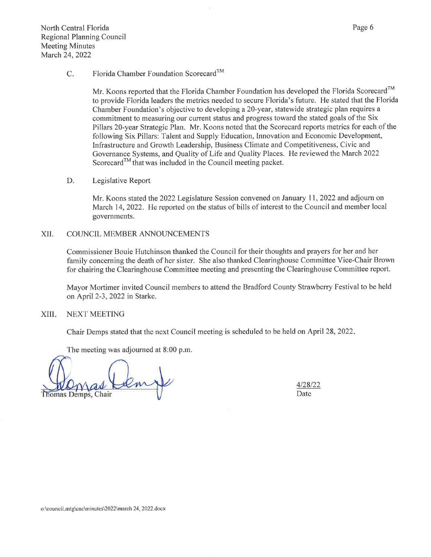#### C. Florida Chamber Foundation Scorecard™

Mr. Koons reported that the Florida Chamber Foundation has developed the Florida Scorecard<sup>TM</sup> to provide Florida leaders the metrics needed to secure Florida's future. He stated that the Florida Chamber Foundation's objective to developing a 20-year, statewide strategic plan requires a commitment to measuring our current status and progress toward the stated goals of the Six Pillars 20-year Strategic Plan. Mr. Koons noted that the Scorecard reports metrics for each of the following Six Pillars: Talent and Supply Education, Innovation and Economic Development, Infrastructure and Growth Leadership, Business Climate and Competitiveness, Civic and Governance Systems, and Quality of Life and Quality Places. He reviewed the March 2022 Scorecard™ that was included in the Council meeting packet.

#### D. Legislative Report

Mr. Koons stated the 2022 Legislature Session convened on January 11, 2022 and adjourn on March 14, 2022. He reported on the status of bills of interest to the Council and member local governments.

#### XII. COUNCIL MEMBER ANNOUNCEMENTS

Commissioner Bouie Hutchinson thanked the Council for their thoughts and prayers for her and her family concerning the death of her sister. She also thanked Clearinghouse Committee Vice-Chair Brown for chairing the Clearinghouse Committee meeting and presenting the Clearinghouse Committee report.

Mayor Mortimer invited Council members to attend the Bradford County Strawberry Festival to be held on April 2-3, 2022 in Starke.

#### XIII. NEXT MEETING

Chair Demps stated that the next Council meeting is scheduled to be held on April 28, 2022.

The meeting was adjourned at 8:00 p.m.

Thomas Demps, Chair

4/28/22 Date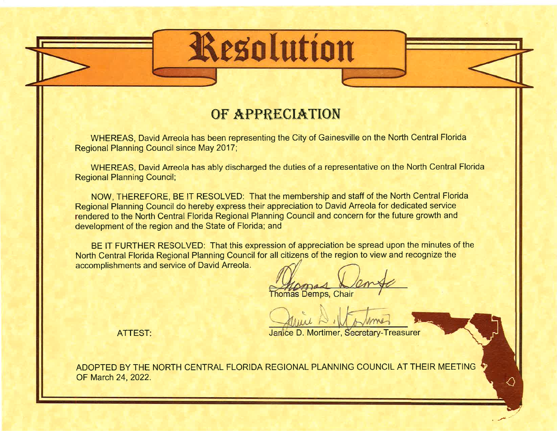# OF APPRECIATION

**Resolution** 

WHEREAS, David Arreola has been representing the City of Gainesville on the North Central Florida Regional Planning Council since May 2017;

WHEREAS, David Arreola has ably discharged the duties of a representative on the North Central Florida Regional Planning Council;

NOW, THEREFORE, BE IT RESOLVED: That the membership and staff of the North Central Florida Regional Planning Council do hereby express their appreciation to David Arreola for dedicated service rendered to the North Central Florida Regional Planning Council and concern for the future growth and development of the region and the State of Florida; and

BE IT FURTHER RESOLVED: That this expression of appreciation be spread upon the minutes of the North Central Florida Regional Planning Council for all citizens of the region to view and recognize the BE IT FURTHER RESOLVED. That this expression of appreciation be spite<br>North Central Florida Regional Planning Council for all citizens of the region to v<br>accomplishments and service of David Arreola.

omas and *Survey*<br>Is Demps, Chair

Janice D. Mortimer, Secretary-Treasurer

╱

**ATTEST:** 

ADOPTED BY THE NORTH CENTRAL FLORIDA REGIONAL PLANNING COUNCIL AT THEIR MEETING OF March 24, 2022.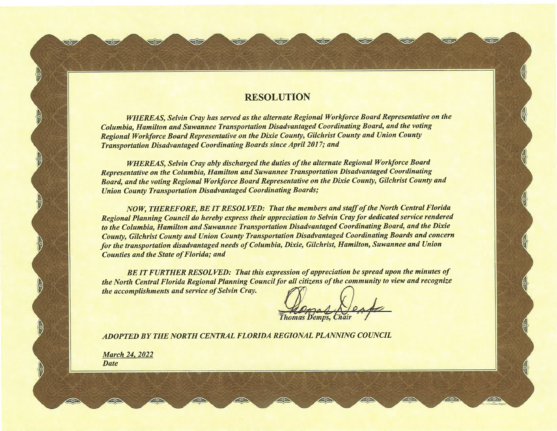# **RESOLUTION**

 $\overline{z}$  .  $\overline{w}$  ,  $\overline{w}$  ,  $\overline{w}$  ,  $\overline{w}$  ,  $\overline{w}$  ,  $\overline{w}$  ,  $\overline{w}$ 

*WHEREAS, Selvin Cray has served as the alternate Regional Workforce Board Representative on the Columbia, Hamilton and Suwannee Transportation Disadvantaged Coordinating Board, and the voting Regional Workforce Board Representative on the Dixie County, Gilchrist County and Union County Transportation Disadvantaged Coordinating Boards since April 2017; and* 

*WHEREAS, Selvin Cray ably discharged the duties of the alternate Regional Workforce Board Representative on the Columbia, Hamilton and Suwannee Transportation Disadvantaged Coordinating Board, and the voting Regional Workforce Board Representative on the Dixie County, Gilchrist County and Union County Transportation Disadvantaged Coordinating Boards;* 

*NOW, THEREFORE, BE IT RESOLVED: That the members and staff of the North Central Florida Regional Planning Council do hereby express their appreciation to Selvin Cray for dedicated service rendered to the Columbia, Hamilton and Suwannee Transportation Disadvantaged Coordinating Board, and the Dixie County, Gilchrist County and Union County Transportation Disadvantaged Coordinating Boards and concern for the transportation disadvantaged needs of Columbia, Dixie, Gilchrist, Hamilton, Suwannee and Union Counties and the State of Florida; and*  **RESOLUTION**<br> **RESOLUTION**<br> **WHEREAS, Selvin Cray has served as the alternate Regional Workforce Board Representative on the Columbia, 1 distribution and Survey controller Distribution Distribution (Distribution and Survey** 

*BE IT FURTHER RESOLVED: That this expression of appreciation be spread upon the minutes of the North Central Florida Regional Planning Council for all citizens of the community to view and recognize the accomplishments and service of Selvin Cray.* 

*ADOPTED BY THE NORTH CENTRAL FLORIDA REGIONAL PLANNING COUNCIL* 

**Date** 

·,-- .---... ,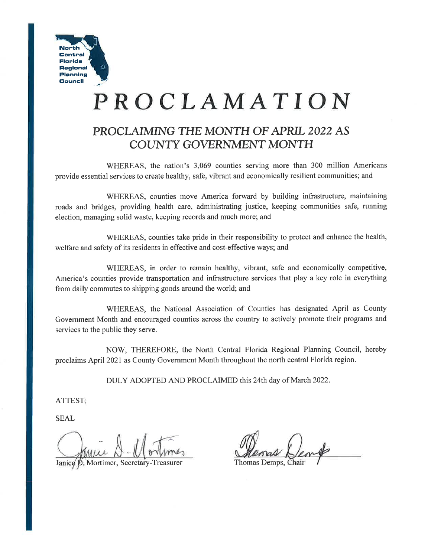

# **PROCLAMATION**

# **PROCLAIMING THE MONTH OF APRIL 2022 AS COUNTY GOVERNMENT MONTH**

WHEREAS, the nation's 3,069 counties serving more than 300 million Americans provide essential services to create healthy, safe, vibrant and economically resilient communities; and

WHEREAS, counties move America forward by building infrastructure, maintaining roads and bridges, providing health care, administrating justice, keeping communities safe, running election, managing solid waste, keeping records and much more; and

WHEREAS, counties take pride in their responsibility to protect and enhance the health, welfare and safety of its residents in effective and cost-effective ways; and

WHEREAS, in order to remain healthy, vibrant, safe and economically competitive, America's counties provide transportation and infrastructure services that play a key role in everything from daily commutes to shipping goods around the world; and

WHEREAS, the National Association of Counties has designated April as County Government Month and encouraged counties across the country to actively promote their programs and services to the public they serve.

NOW, THEREFORE, the North Central Florida Regional Planning Council, hereby proclaims April 2021 as County Government Month throughout the north central Florida region.

DULY ADOPTED AND PROCLAIMED this 24th day of March 2022.

ATTEST:

SEAL

Janice D. Mortimer, Secretary-Treasurer